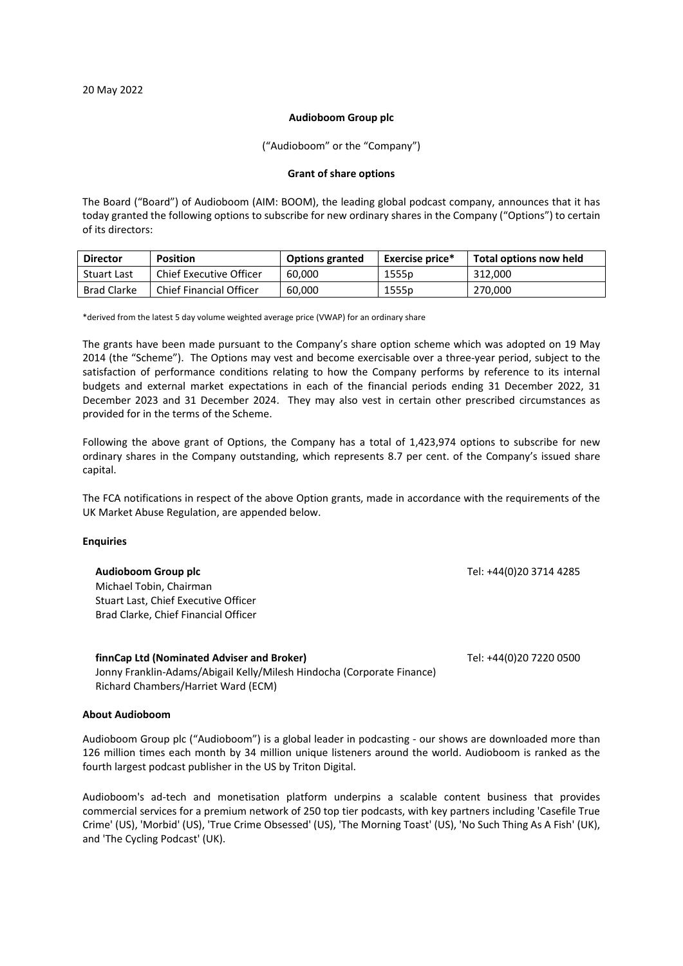## **Audioboom Group plc**

("Audioboom" or the "Company")

#### **Grant of share options**

The Board ("Board") of Audioboom (AIM: BOOM), the leading global podcast company, announces that it has today granted the following options to subscribe for new ordinary shares in the Company ("Options") to certain of its directors:

| <b>Director</b>    | <b>Position</b>                | <b>Options granted</b> | Exercise price*   | Total options now held |
|--------------------|--------------------------------|------------------------|-------------------|------------------------|
| <b>Stuart Last</b> | <b>Chief Executive Officer</b> | 60.000                 | 1555 <sub>p</sub> | 312.000                |
| <b>Brad Clarke</b> | <b>Chief Financial Officer</b> | 60,000                 | 1555p             | 270.000                |

\*derived from the latest 5 day volume weighted average price (VWAP) for an ordinary share

The grants have been made pursuant to the Company's share option scheme which was adopted on 19 May 2014 (the "Scheme"). The Options may vest and become exercisable over a three-year period, subject to the satisfaction of performance conditions relating to how the Company performs by reference to its internal budgets and external market expectations in each of the financial periods ending 31 December 2022, 31 December 2023 and 31 December 2024. They may also vest in certain other prescribed circumstances as provided for in the terms of the Scheme.

Following the above grant of Options, the Company has a total of 1,423,974 options to subscribe for new ordinary shares in the Company outstanding, which represents 8.7 per cent. of the Company's issued share capital.

The FCA notifications in respect of the above Option grants, made in accordance with the requirements of the UK Market Abuse Regulation, are appended below.

## **Enquiries**

**Audioboom Group plc Contract Contract Contract Contract Contract Contract Contract Contract Contract Contract Contract Contract Contract Contract Contract Contract Contract Contract Contract Contract Contract Contract C** 

Michael Tobin, Chairman Stuart Last, Chief Executive Officer Brad Clarke, Chief Financial Officer

**finnCap Ltd (Nominated Adviser and Broker)** Tel: +44(0)20 7220 0500 Jonny Franklin-Adams/Abigail Kelly/Milesh Hindocha (Corporate Finance) Richard Chambers/Harriet Ward (ECM)

## **About Audioboom**

Audioboom Group plc ("Audioboom") is a global leader in podcasting - our shows are downloaded more than 126 million times each month by 34 million unique listeners around the world. Audioboom is ranked as the fourth largest podcast publisher in the US by Triton Digital.

Audioboom's ad-tech and monetisation platform underpins a scalable content business that provides commercial services for a premium network of 250 top tier podcasts, with key partners including 'Casefile True Crime' (US), 'Morbid' (US), 'True Crime Obsessed' (US), 'The Morning Toast' (US), 'No Such Thing As A Fish' (UK), and 'The Cycling Podcast' (UK).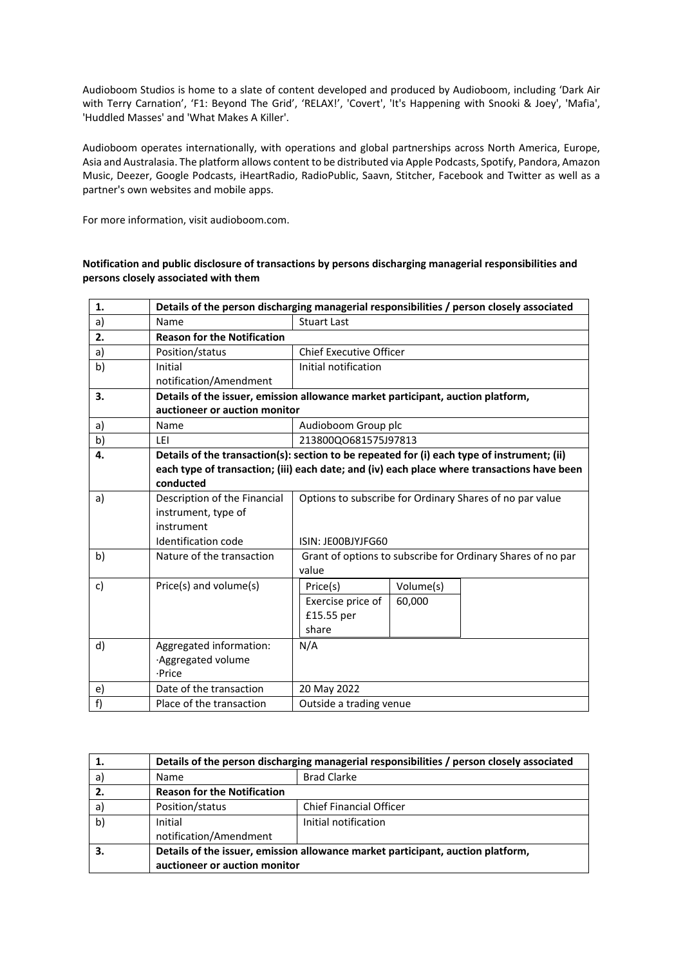Audioboom Studios is home to a slate of content developed and produced by Audioboom, including 'Dark Air with Terry Carnation', 'F1: Beyond The Grid', 'RELAX!', 'Covert', 'It's Happening with Snooki & Joey', 'Mafia', 'Huddled Masses' and 'What Makes A Killer'.

Audioboom operates internationally, with operations and global partnerships across North America, Europe, Asia and Australasia. The platform allows content to be distributed via Apple Podcasts, Spotify, Pandora, Amazon Music, Deezer, Google Podcasts, iHeartRadio, RadioPublic, Saavn, Stitcher, Facebook and Twitter as well as a partner's own websites and mobile apps.

For more information, visit audioboom.com.

# **Notification and public disclosure of transactions by persons discharging managerial responsibilities and persons closely associated with them**

| 1. |                                                                                                          | Details of the person discharging managerial responsibilities / person closely associated |           |  |  |  |
|----|----------------------------------------------------------------------------------------------------------|-------------------------------------------------------------------------------------------|-----------|--|--|--|
| a) | Name                                                                                                     | <b>Stuart Last</b>                                                                        |           |  |  |  |
| 2. | <b>Reason for the Notification</b>                                                                       |                                                                                           |           |  |  |  |
| a) | Position/status                                                                                          | <b>Chief Executive Officer</b>                                                            |           |  |  |  |
| b) | Initial                                                                                                  | Initial notification                                                                      |           |  |  |  |
|    | notification/Amendment                                                                                   |                                                                                           |           |  |  |  |
| 3. |                                                                                                          | Details of the issuer, emission allowance market participant, auction platform,           |           |  |  |  |
|    | auctioneer or auction monitor                                                                            |                                                                                           |           |  |  |  |
| a) | Name                                                                                                     | Audioboom Group plc                                                                       |           |  |  |  |
| b) | LEI                                                                                                      | 213800QO681575J97813                                                                      |           |  |  |  |
| 4. | Details of the transaction(s): section to be repeated for (i) each type of instrument; (ii)              |                                                                                           |           |  |  |  |
|    | each type of transaction; (iii) each date; and (iv) each place where transactions have been<br>conducted |                                                                                           |           |  |  |  |
|    |                                                                                                          |                                                                                           |           |  |  |  |
| a) | Description of the Financial                                                                             | Options to subscribe for Ordinary Shares of no par value                                  |           |  |  |  |
|    | instrument, type of                                                                                      |                                                                                           |           |  |  |  |
|    | instrument                                                                                               |                                                                                           |           |  |  |  |
|    | Identification code                                                                                      | ISIN: JEOOBJYJFG60                                                                        |           |  |  |  |
| b) | Nature of the transaction                                                                                | Grant of options to subscribe for Ordinary Shares of no par<br>value                      |           |  |  |  |
|    |                                                                                                          |                                                                                           |           |  |  |  |
| c) | Price(s) and volume(s)                                                                                   | Price(s)                                                                                  | Volume(s) |  |  |  |
|    |                                                                                                          | Exercise price of                                                                         | 60,000    |  |  |  |
|    |                                                                                                          | £15.55 per                                                                                |           |  |  |  |
|    |                                                                                                          | share                                                                                     |           |  |  |  |
| d) | Aggregated information:                                                                                  | N/A                                                                                       |           |  |  |  |
|    | ·Aggregated volume                                                                                       |                                                                                           |           |  |  |  |
|    | <b>Price</b>                                                                                             |                                                                                           |           |  |  |  |
| e) | Date of the transaction                                                                                  | 20 May 2022                                                                               |           |  |  |  |
| f  | Place of the transaction                                                                                 | Outside a trading venue                                                                   |           |  |  |  |

|              | Details of the person discharging managerial responsibilities / person closely associated |                                |  |
|--------------|-------------------------------------------------------------------------------------------|--------------------------------|--|
| a)           | Name                                                                                      | <b>Brad Clarke</b>             |  |
| 2.           | <b>Reason for the Notification</b>                                                        |                                |  |
| a)           | Position/status                                                                           | <b>Chief Financial Officer</b> |  |
| $\mathsf{b}$ | Initial                                                                                   | Initial notification           |  |
|              | notification/Amendment                                                                    |                                |  |
| 3.           | Details of the issuer, emission allowance market participant, auction platform,           |                                |  |
|              | auctioneer or auction monitor                                                             |                                |  |